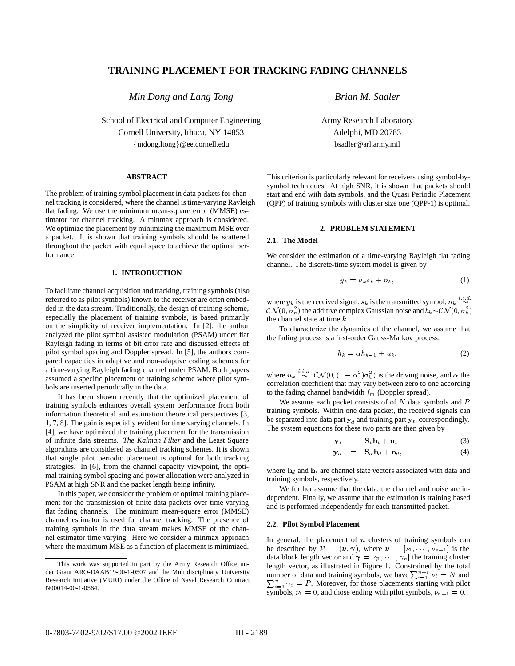# **TRAINING PLACEMENT FOR TRACKING FADING CHANNELS**

*Min Dong and Lang Tong*

School of Electrical and Computer Engineering Cornell University, Ithaca, NY 14853 {mdong,ltong}@ee.cornell.edu

#### **ABSTRACT**

The problem of training symbol placement in data packets for channel tracking is considered, where the channel is time-varying Rayleigh flat fading. We use the minimum mean-square error (MMSE) estimator for channel tracking. A minmax approach is considered. We optimize the placement by minimizing the maximum MSE over a packet. It is shown that training symbols should be scattered throughout the packet with equal space to achieve the optimal performance.

# **1. INTRODUCTION**

To facilitate channel acquisition and tracking, training symbols (also referred to as pilot symbols) known to the receiver are often embedded in the data stream. Traditionally, the design of training scheme, especially the placement of training symbols, is based primarily on the simplicity of receiver implementation. In [2], the author analyzed the pilot symbol assisted modulation (PSAM) under flat Rayleigh fading in terms of bit error rate and discussed effects of pilot symbol spacing and Doppler spread. In [5], the authors compared capacities in adaptive and non-adaptive coding schemes for a time-varying Rayleigh fading channel under PSAM. Both papers assumed a specific placement of training scheme where pilot symbols are inserted periodically in the data.

It has been shown recently that the optimized placement of training symbols enhances overall system performance from both information theoretical and estimation theoretical perspectives [3, 1, 7, 8]. The gain is especially evident for time varying channels. In [4], we have optimized the training placement for the transmission of infinite data streams. *The Kalman Filter* and the Least Square algorithms are considered as channel tracking schemes. It is shown that single pilot periodic placement is optimal for both tracking strategies. In [6], from the channel capacity viewpoint, the optimal training symbol spacing and power allocation were analyzed in PSAM at high SNR and the packet length being infinity.

In this paper, we consider the problem of optimal training placement for the transmission of finite data packets over time-varying flat fading channels. The minimum mean-square error (MMSE) channel estimator is used for channel tracking. The presence of training symbols in the data stream makes MMSE of the channel estimator time varying. Here we consider a minmax approach where the maximum MSE as a function of placement is minimized.

*Brian M. Sadler*

Army Research Laboratory Adelphi, MD 20783 bsadler@arl.army.mil

This criterion is particularly relevant for receivers using symbol-bysymbol techniques. At high SNR, it is shown that packets should start and end with data symbols, and the Quasi Periodic Placement (QPP) of training symbols with cluster size one (QPP-1) is optimal.

#### **2. PROBLEM STATEMENT**

### **2.1. The Model**

We consider the estimation of a time-varying Rayleigh flat fading channel. The discrete-time system model is given by

$$
y_k = h_k s_k + n_k, \tag{1}
$$

where  $y_k$  is the received signal,  $s_k$  is the transmitted symbol,  $n_k \overset{i.i.d.}{\sim}$  $\mathcal{CN}(0, \sigma_n^2)$  the additive complex Gaussian noise and  $h_k{\sim}\mathcal{CN}(0, \sigma_h^2)$ the channel state at time  $k$ .

To characterize the dynamics of the channel, we assume that the fading process is a first-order Gauss-Markov process:

$$
h_k = \alpha h_{k-1} + u_k, \tag{2}
$$

where  $u_k \sim \mathcal{CN}(0, (1-\alpha^2)\sigma_h^2)$  is the driving noise, and  $\alpha$  the correlation coefficient that may vary between zero to one according to the fading channel bandwidth  $f_m$  (Doppler spread).

We assume each packet consists of of  $N$  data symbols and  $P$ training symbols. Within one data packet, the received signals can be separated into data part  $y_d$  and training part  $y_t$ , correspondingly. The system equations for these two parts are then given by

$$
\mathbf{y}_t = \mathbf{S}_t \mathbf{h}_t + \mathbf{n}_t \tag{3}
$$

$$
\mathbf{y}_d = \mathbf{S}_d \mathbf{h}_d + \mathbf{n}_d, \tag{4}
$$

where  $h_d$  and  $h_t$  are channel state vectors associated with data and training symbols, respectively.

We further assume that the data, the channel and noise are independent. Finally, we assume that the estimation is training based and is performed independently for each transmitted packet.

### **2.2. Pilot Symbol Placement**

In general, the placement of  $n$  clusters of training symbols can be described by  $\mathcal{P} = (\nu, \gamma)$ , where  $\nu = [\nu_1, \dots, \nu_{n+1}]$  is the data block length vector and  $\boldsymbol{\gamma} = [\gamma_1, \cdots, \gamma_n]$  the training cluster length vector, as illustrated in Figure 1. Constrained by the total number of data and training symbols, we have  $\sum_{i=1}^{n+1} \nu_i = N$  and  $n_{i=1}^n \gamma_i = P$ . Moreover, for those placements starting with pilot symbols,  $\nu_1 = 0$ , and those ending with pilot symbols,  $\nu_{n+1} = 0$ .

This work was supported in part by the Army Research Office under Grant ARO-DAAB19-00-1-0507 and the Multidisciplinary University Research Initiative (MURI) under the Office of Naval Research Contract N00014-00-1-0564.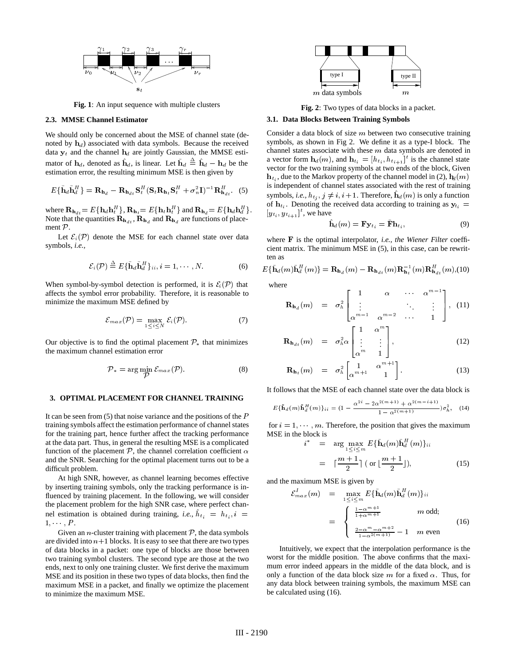

**Fig. 1**: An input sequence with multiple clusters

# **2.3. MMSE Channel Estimator**

We should only be concerned about the MSE of channel state (denoted by  $\mathbf{h}_d$ ) associated with data symbols. Because the received data  $y_t$  and the channel  $h_d$  are jointly Gaussian, the MMSE estimator of  $h_d$ , denoted as  $h_d$ , is linear. Let  $h_d \triangleq h_d - h_d$  be the estimation error, the resulting minimum MSE is then given by

$$
E\{\tilde{\mathbf{h}}_{d}\tilde{\mathbf{h}}_{d}^{H}\} = \mathbf{R}_{\mathbf{h}_{d}} - \mathbf{R}_{\mathbf{h}_{dt}}\mathbf{S}_{t}^{H}\left(\mathbf{S}_{t}\mathbf{R}_{\mathbf{h}_{t}}\mathbf{S}_{t}^{H} + \sigma_{n}^{2}\mathbf{I}\right)^{-1}\mathbf{R}_{\mathbf{h}_{dt}}^{H}.
$$
 (5)

where  $\mathbf{R}_{\mathbf{h}_{dt}} = E\{\mathbf{h}_d\mathbf{h}_t^H\}$ ,  $\mathbf{R}_{\mathbf{h}_t} = E\{\mathbf{h}_t\mathbf{h}_t^H\}$  and  $\mathbf{R}_{\mathbf{h}_d} = E\{\mathbf{h}_d\mathbf{h}_d^H\}$ . Note that the quantities  $\mathbf{R}_{\mathbf{h}_{dt}}$ ,  $\mathbf{R}_{\mathbf{h}_d}$  and  $\mathbf{R}_{\mathbf{h}_d}$  are functions of placement  $\mathcal{P}$ .

Let  $\mathcal{E}_i(\mathcal{P})$  denote the MSE for each channel state over data symbols, *i.e.,*

$$
\mathcal{E}_i(\mathcal{P}) \stackrel{\Delta}{=} E\{\tilde{\mathbf{h}}_d \tilde{\mathbf{h}}_d^H\}_{ii}, i = 1, \cdots, N. \tag{6}
$$

When symbol-by-symbol detection is performed, it is  $\mathcal{E}_i(\mathcal{P})$  that affects the symbol error probability. Therefore, it is reasonable to minimize the maximum MSE defined by

$$
\mathcal{E}_{max}(\mathcal{P}) = \max_{1 \leq i \leq N} \mathcal{E}_i(\mathcal{P}). \tag{7}
$$

Our objective is to find the optimal placement  $P_*$  that minimizes the maximum channel estimation error

$$
P_* = \arg\min_{\mathcal{P}} \mathcal{E}_{max}(\mathcal{P}). \tag{8}
$$

# **3. OPTIMAL PLACEMENT FOR CHANNEL TRAINING**

It can be seen from  $(5)$  that noise variance and the positions of the  $P$ training symbols affect the estimation performance of channel states for the training part, hence further affect the tracking performance at the data part. Thus, in general the resulting MSE is a complicated function of the placement  $P$ , the channel correlation coefficient  $\alpha$ and the SNR. Searching for the optimal placement turns out to be a difficult problem.

At high SNR, however, as channel learning becomes effective by inserting training symbols, only the tracking performance is influenced by training placement. In the following, we will consider the placement problem for the high SNR case, where perfect channel estimation is obtained during training, *i.e.*,  $h_{t_i} = h_{t_i}$ , *i* =  $1, \cdots, P$ .

Given an *n*-cluster training with placement  $P$ , the data symbols are divided into  $n+1$  blocks. It is easy to see that there are two types of data blocks in a packet: one type of blocks are those between two training symbol clusters. The second type are those at the two ends, next to only one training cluster. We first derive the maximum MSE and its position in these two types of data blocks, then find the maximum MSE in a packet, and finally we optimize the placement to minimize the maximum MSE.



**Fig. 2**: Two types of data blocks in a packet.

### **3.1. Data Blocks Between Training Symbols**

Consider a data block of size  $m$  between two consecutive training symbols, as shown in Fig 2. We define it as a type-I block. The channel states associate with these  $m$  data symbols are denoted in a vector form  $\mathbf{h}_d(m)$ , and  $\mathbf{h}_{t_i} = [h_{t_i}, h_{t_{i+1}}]^t$  is the channel state vector for the two training symbols at two ends of the block, Given  $\mathbf{h}_{t_i}$ , due to the Markov property of the channel model in (2),  $\mathbf{h}_d(m)$ is independent of channel states associated with the rest of training symbols, *i.e.*,  $h_{t_i}$ ,  $j \neq i$ ,  $i+1$ . Therefore,  $\mathbf{h}_d(m)$  is only a function of  $\mathbf{h}_{t_i}$ . Denoting the received data according to training as  $y_{t_i} =$  $[y_{t_i}, y_{t_{i+1}}]^t$ , we have

$$
\mathbf{\hat{h}}_d(m) = \mathbf{F} \mathbf{y}_{t_i} = \mathbf{\bar{F}} \mathbf{h}_{t_i},\tag{9}
$$

where <sup>F</sup> is the optimal interpolator, *i.e., the Wiener Filter* coefficient matrix. The minimum MSE in (5), in this case, can be rewritten as

$$
E\{\tilde{\mathbf{h}}_d(m)\tilde{\mathbf{h}}_d^H(m)\} = \mathbf{R}_{\mathbf{h}_d}(m) - \mathbf{R}_{\mathbf{h}_{dt}}(m)\mathbf{R}_{\mathbf{h}_t}^{-1}(m)\mathbf{R}_{\mathbf{h}_{dt}}^H(m),(10)
$$

where

$$
\mathbf{R}_{\mathbf{h}_d}(m) = \sigma_h^2 \begin{bmatrix} 1 & \alpha & \cdots & \alpha^{m-1} \\ \vdots & & \ddots & \vdots \\ \alpha^{m-1} & \alpha^{m-2} & \cdots & 1 \end{bmatrix}, (11)
$$

$$
\mathbf{R}_{\mathbf{h}_{dt}}(m) = \sigma_h^2 \alpha \begin{bmatrix} 1 & \alpha^m \\ \vdots & \vdots \\ \alpha^m & 1 \end{bmatrix}, \qquad (12)
$$

$$
\mathbf{R}_{\mathbf{h}_t}(m) = \sigma_h^2 \begin{bmatrix} 1 & \alpha^{m+1} \\ \alpha^{m+1} & 1 \end{bmatrix} . \tag{13}
$$

It follows that the MSE of each channel state over the data block is

$$
E\{\bar{\mathbf{h}}_d(m)\bar{\mathbf{h}}_d^H(m)\}_{ii} = (1 - \frac{\alpha^{2i} - 2\alpha^{2(m+1)} + \alpha^{2(m-i+1)}}{1 - \alpha^{2(m+1)}})\sigma_h^2, \quad (14)
$$

for  $i = 1, \dots, m$ . Therefore, the position that gives the maximum MSE in the block is

$$
i^* = \arg \max_{1 \le i \le m} E\{\mathbf{h}_d(m)\mathbf{h}_d^H(m)\}_{ii}
$$
  
=  $\lceil \frac{m+1}{2} \rceil$  (or  $\lfloor \frac{m+1}{2} \rfloor$ ), (15)

and the maximum MSE is given by

 $\mathcal E$ 

$$
\begin{aligned}\n\frac{I_{max}}{I_{min}}(m) &= \max_{1 \le i \le m} E\{\tilde{\mathbf{h}}_d(m)\tilde{\mathbf{h}}_d^H(m)\}_{ii} \\
&= \begin{cases}\n\frac{1-\alpha^{m+1}}{1+\alpha^{m+1}} & m \text{ odd;} \\
\frac{2-\alpha^m - \alpha^{m+2}}{1-\alpha^{2(m+1)}} - 1 & m \text{ even}\n\end{cases}\n\end{aligned} \tag{16}
$$

Intuitively, we expect that the interpolation performance is the worst for the middle position. The above confirms that the maximum error indeed appears in the middle of the data block, and is only a function of the data block size m for a fixed  $\alpha$ . Thus, for any data block between training symbols, the maximum MSE can be calculated using (16).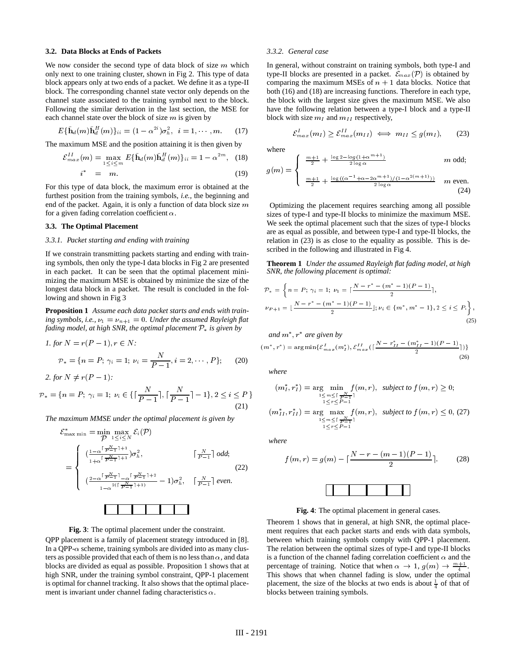#### **3.2. Data Blocks at Ends of Packets**

We now consider the second type of data block of size  $m$  which only next to one training cluster, shown in Fig 2. This type of data block appears only at two ends of a packet. We define it as a type-II block. The corresponding channel state vector only depends on the channel state associated to the training symbol next to the block. Following the similar derivation in the last section, the MSE for each channel state over the block of size  $m$  is given by

$$
E\{\tilde{\mathbf{h}}_d(m)\tilde{\mathbf{h}}_d^H(m)\}_{ii} = (1 - \alpha^{2i})\sigma_h^2, \ \ i = 1, \cdots, m. \tag{17}
$$

The maximum MSE and the position attaining it is then given by

$$
\mathcal{E}_{max}^{II}(m) = \max_{1 \le i \le m} E\{\tilde{\mathbf{h}}_d(m)\tilde{\mathbf{h}}_d^H(m)\}_{ii} = 1 - \alpha^{2m}, \quad (18)
$$
  

$$
i^* = m. \tag{19}
$$

For this type of data block, the maximum error is obtained at the furthest position from the training symbols, *i.e.*, the beginning and 
$$
f
$$
 the result of the value of the value of the behavior of the line in

furthest position from the training symbols, *i.e.,* the beginning and end of the packet. Again, it is only a function of data block size  $m$ for a given fading correlation coefficient  $\alpha$ .

# **3.3. The Optimal Placement**

### *3.3.1. Packet starting and ending with training*

If we constrain transmitting packets starting and ending with training symbols, then only the type-I data blocks in Fig 2 are presented in each packet. It can be seen that the optimal placement minimizing the maximum MSE is obtained by minimize the size of the longest data block in a packet. The result is concluded in the following and shown in Fig 3

**Proposition 1** *Assume each data packet starts and ends with train*ing symbols, i.e.,  $\nu_1 = \nu_{n+1} = 0$ . Under the assumed Rayleigh flat *fading model, at high SNR, the optimal placement*  $P_*$  *is given by* 

*I. for N* = 
$$
r(P - 1), r \in N
$$
:  
\n
$$
\mathcal{P}_* = \{n = P; \gamma_i = 1; \nu_i = \frac{N}{P - 1}, i = 2, \cdots, P\}; \qquad (20)
$$

*2. for*  $N \neq r(P-1)$ :

$$
\mathcal{P}_* = \{ n = P; \, \gamma_i = 1; \, \nu_i \in \{ \lceil \frac{N}{P-1} \rceil, \lceil \frac{N}{P-1} \rceil - 1 \}, 2 \le i \le P \, \} \tag{21}
$$

*The maximum MMSE under the optimal placement is given by*

$$
\mathcal{E}_{\max \min}^* = \min_{\mathcal{P}} \max_{1 \le i \le N} \mathcal{E}_i(\mathcal{P})
$$
\n
$$
= \begin{cases}\n(\frac{1 - \alpha^{\lceil \frac{N}{2} \rceil + 1 + 1}}{1 + \alpha^{\lceil \frac{N}{2} \rceil + 1 + 1}}) \sigma_h^2, & \lceil \frac{N}{p - 1} \rceil \text{ odd}; \\
(\frac{2 - \alpha^{\lceil \frac{N}{2} \rceil - 1} - \alpha^{\lceil \frac{N}{2} \rceil + 1}}{1 - \alpha^{2(\lceil \frac{N}{2} \rceil + 1)} - 1} \sigma_h^2, & \lceil \frac{N}{p - 1} \rceil \text{ even}.\n\end{cases}
$$
\n(22)

#### **Fig. 3**: The optimal placement under the constraint.

QPP placement is a family of placement strategy introduced in [8]. In a QPP- $\alpha$  scheme, training symbols are divided into as many clusters as possible provided that each of them is no less than  $\alpha$ , and data blocks are divided as equal as possible. Proposition 1 shows that at high SNR, under the training symbol constraint, QPP-1 placement is optimal for channel tracking. It also shows that the optimal placement is invariant under channel fading characteristics  $\alpha$ .

### *3.3.2. General case*

In general, without constraint on training symbols, both type-I and type-II blocks are presented in a packet.  $\mathcal{E}_{max}(\mathcal{P})$  is obtained by comparing the maximum MSEs of  $n + 1$  data blocks. Notice that both (16) and (18) are increasing functions. Therefore in each type, the block with the largest size gives the maximum MSE. We also have the following relation between a type-I block and a type-II block with size  $m_I$  and  $m_{II}$  respectively,

$$
\mathcal{E}_{max}^I(m_I) \geq \mathcal{E}_{max}^{II}(m_{II}) \iff m_{II} \leq g(m_I), \qquad (23)
$$

where

$$
g(m) = \begin{cases} \frac{m+1}{2} + \frac{\log 2 - \log(1 + \alpha^{m+1})}{2 \log \alpha} & m \text{ odd;} \\ \frac{m+1}{2} + \frac{\log((\alpha^{-1} + \alpha - 2\alpha^{m+1})/(1 - \alpha^{2(m+1)}))}{2 \log \alpha} & m \text{ even.} \end{cases}
$$
(24)

Optimizing the placement requires searching among all possible sizes of type-I and type-II blocks to minimize the maximum MSE. We seek the optimal placement such that the sizes of type-I blocks are as equal as possible, and between type-I and type-II blocks, the relation in (23) is as close to the equality as possible. This is described in the following and illustrated in Fig 4.

**Theorem 1** *Under the assumed Rayleigh flat fading model, at high SNR, the following placement is optimal:*

$$
\mathcal{P}_* = \left\{ n = P; \ \gamma_i = 1; \ \nu_1 = \left[ \frac{N - r^* - (m^* - 1)(P - 1)}{2} \right], \right\}
$$
\n
$$
\nu_{P+1} = \left\lfloor \frac{N - r^* - (m^* - 1)(P - 1)}{2} \right\rfloor; \nu_i \in \{m^*, m^* - 1\}, 2 \le i \le P. \right\},\tag{25}
$$

and 
$$
m^*
$$
,  $r^*$  are given by  
\n $(m^*, r^*) = \arg \min \{ \mathcal{E}_{max}^I(m_I^*), \mathcal{E}_{max}^{II} \left( \lceil \frac{N - r_{II}^* - (m_{II}^* - 1)(P - 1)}{2} \rceil \right) \}$  (26)

*where*

$$
(mI*, rI*) = \underset{1 \le n \le \lceil \frac{N}{P-1} \rceil}{\text{arg min}} f(m, r), \text{ subject to } f(m, r) \ge 0;
$$
  

$$
(mII*, rII*) = \underset{1 \le n \le \lceil \frac{N}{P-1} \rceil}{\text{arg max}} f(m, r), \text{ subject to } f(m, r) \le 0, (27)
$$
  

$$
\underset{1 \le n \le \lceil \frac{N}{P-1} \rceil}{\text{arg max}} f(m, r).
$$

*where*

$$
f(m,r) = g(m) - \lceil \frac{N - r - (m - 1)(P - 1)}{2} \rceil.
$$
 (28)



**Fig. 4**: The optimal placement in general cases.

Theorem 1 shows that in general, at high SNR, the optimal placement requires that each packet starts and ends with data symbols, between which training symbols comply with QPP-1 placement. The relation between the optimal sizes of type-I and type-II blocks is a function of the channel fading correlation coefficient  $\alpha$  and the percentage of training. Notice that when  $\alpha \to 1$ ,  $g(m) \to \frac{m+1}{4}$ . This shows that when channel fading is slow, under the optimal placement, the size of the blocks at two ends is about  $\frac{1}{4}$  of that of blocks between training symbols.